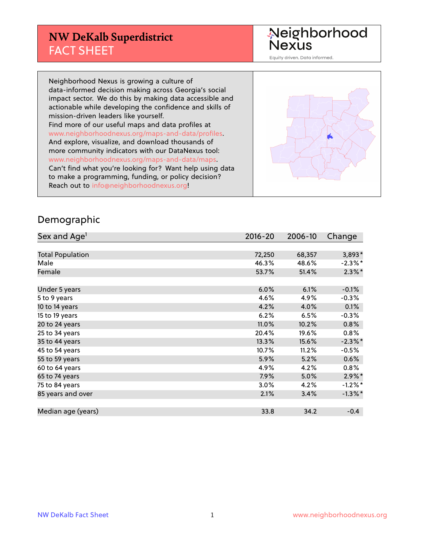#### **NW DeKalb Superdistrict** FACT SHEET

Neighborhood<br>Nexus

Equity driven. Data informed.

Neighborhood Nexus is growing a culture of data-informed decision making across Georgia's social impact sector. We do this by making data accessible and actionable while developing the confidence and skills of mission-driven leaders like yourself. Find more of our useful maps and data profiles at www.neighborhoodnexus.org/maps-and-data/profiles. And explore, visualize, and download thousands of more community indicators with our DataNexus tool: www.neighborhoodnexus.org/maps-and-data/maps. Can't find what you're looking for? Want help using data to make a programming, funding, or policy decision? Reach out to [info@neighborhoodnexus.org!](mailto:info@neighborhoodnexus.org)



#### Demographic

| Sex and Age <sup>1</sup> | $2016 - 20$ | 2006-10 | Change     |
|--------------------------|-------------|---------|------------|
|                          |             |         |            |
| <b>Total Population</b>  | 72,250      | 68,357  | 3,893*     |
| Male                     | 46.3%       | 48.6%   | $-2.3\%$ * |
| Female                   | 53.7%       | 51.4%   | $2.3\%$ *  |
|                          |             |         |            |
| Under 5 years            | 6.0%        | 6.1%    | $-0.1%$    |
| 5 to 9 years             | 4.6%        | 4.9%    | $-0.3%$    |
| 10 to 14 years           | 4.2%        | 4.0%    | 0.1%       |
| 15 to 19 years           | 6.2%        | 6.5%    | $-0.3%$    |
| 20 to 24 years           | 11.0%       | 10.2%   | 0.8%       |
| 25 to 34 years           | 20.4%       | 19.6%   | $0.8\%$    |
| 35 to 44 years           | 13.3%       | 15.6%   | $-2.3\%$ * |
| 45 to 54 years           | 10.7%       | 11.2%   | $-0.5%$    |
| 55 to 59 years           | 5.9%        | 5.2%    | 0.6%       |
| 60 to 64 years           | 4.9%        | 4.2%    | $0.8\%$    |
| 65 to 74 years           | 7.9%        | 5.0%    | $2.9\%$ *  |
| 75 to 84 years           | $3.0\%$     | 4.2%    | $-1.2%$ *  |
| 85 years and over        | 2.1%        | 3.4%    | $-1.3\%$ * |
|                          |             |         |            |
| Median age (years)       | 33.8        | 34.2    | $-0.4$     |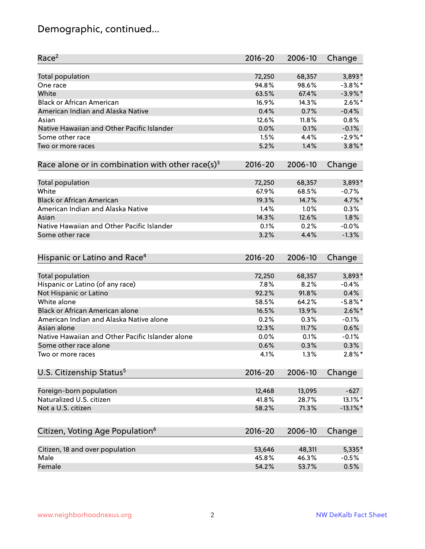# Demographic, continued...

| Race <sup>2</sup>                                            | $2016 - 20$ | 2006-10 | Change      |
|--------------------------------------------------------------|-------------|---------|-------------|
| <b>Total population</b>                                      | 72,250      | 68,357  | $3,893*$    |
| One race                                                     | 94.8%       | 98.6%   | $-3.8\%$ *  |
| White                                                        | 63.5%       | 67.4%   | $-3.9\%$ *  |
| <b>Black or African American</b>                             | 16.9%       | 14.3%   | $2.6\%$ *   |
| American Indian and Alaska Native                            | 0.4%        | 0.7%    | $-0.4%$     |
| Asian                                                        | 12.6%       | 11.8%   | 0.8%        |
| Native Hawaiian and Other Pacific Islander                   | 0.0%        | 0.1%    | $-0.1%$     |
| Some other race                                              | 1.5%        | 4.4%    | $-2.9\%$ *  |
| Two or more races                                            | 5.2%        | 1.4%    | $3.8\%$ *   |
| Race alone or in combination with other race(s) <sup>3</sup> | $2016 - 20$ | 2006-10 | Change      |
|                                                              |             |         |             |
| Total population                                             | 72,250      | 68,357  | $3,893*$    |
| White                                                        | 67.9%       | 68.5%   | $-0.7%$     |
| <b>Black or African American</b>                             | 19.3%       | 14.7%   | 4.7%*       |
| American Indian and Alaska Native                            | 1.4%        | 1.0%    | 0.3%        |
| Asian                                                        | 14.3%       | 12.6%   | 1.8%        |
| Native Hawaiian and Other Pacific Islander                   | 0.1%        | 0.2%    | $-0.0%$     |
| Some other race                                              | 3.2%        | 4.4%    | $-1.3%$     |
|                                                              |             |         |             |
| Hispanic or Latino and Race <sup>4</sup>                     | $2016 - 20$ | 2006-10 | Change      |
| <b>Total population</b>                                      | 72,250      | 68,357  | $3,893*$    |
| Hispanic or Latino (of any race)                             | 7.8%        | 8.2%    | $-0.4%$     |
| Not Hispanic or Latino                                       | 92.2%       | 91.8%   | 0.4%        |
| White alone                                                  | 58.5%       | 64.2%   | $-5.8\%$ *  |
| Black or African American alone                              | 16.5%       | 13.9%   | $2.6\%$ *   |
| American Indian and Alaska Native alone                      | 0.2%        | 0.3%    | $-0.1%$     |
| Asian alone                                                  | 12.3%       | 11.7%   | 0.6%        |
| Native Hawaiian and Other Pacific Islander alone             | 0.0%        | 0.1%    | $-0.1%$     |
| Some other race alone                                        | 0.6%        | 0.3%    | 0.3%        |
| Two or more races                                            | 4.1%        | 1.3%    | $2.8\%$ *   |
|                                                              |             |         |             |
| U.S. Citizenship Status <sup>5</sup>                         | $2016 - 20$ | 2006-10 | Change      |
| Foreign-born population                                      | 12,468      | 13,095  | $-627$      |
| Naturalized U.S. citizen                                     | 41.8%       | 28.7%   | 13.1%*      |
| Not a U.S. citizen                                           | 58.2%       | 71.3%   | $-13.1\%$ * |
|                                                              |             |         |             |
| Citizen, Voting Age Population <sup>6</sup>                  | $2016 - 20$ | 2006-10 | Change      |
| Citizen, 18 and over population                              | 53,646      | 48,311  | 5,335*      |
| Male                                                         | 45.8%       | 46.3%   | $-0.5%$     |
| Female                                                       | 54.2%       | 53.7%   | 0.5%        |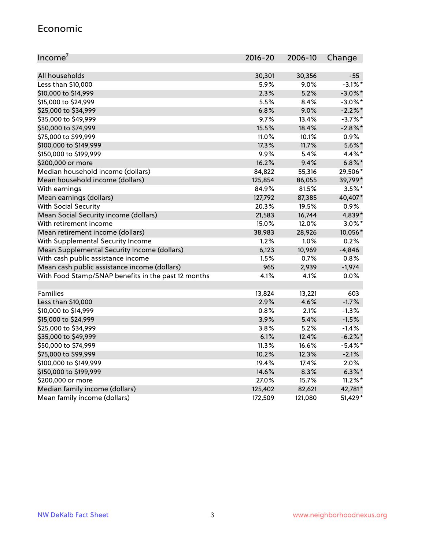#### Economic

| Income <sup>7</sup>                                 | $2016 - 20$ | 2006-10 | Change     |
|-----------------------------------------------------|-------------|---------|------------|
|                                                     |             |         |            |
| All households                                      | 30,301      | 30,356  | $-55$      |
| Less than \$10,000                                  | 5.9%        | 9.0%    | $-3.1\%$ * |
| \$10,000 to \$14,999                                | 2.3%        | 5.2%    | $-3.0\%$ * |
| \$15,000 to \$24,999                                | 5.5%        | 8.4%    | $-3.0\%$ * |
| \$25,000 to \$34,999                                | 6.8%        | 9.0%    | $-2.2\%$ * |
| \$35,000 to \$49,999                                | 9.7%        | 13.4%   | $-3.7\%$ * |
| \$50,000 to \$74,999                                | 15.5%       | 18.4%   | $-2.8\%$ * |
| \$75,000 to \$99,999                                | 11.0%       | 10.1%   | 0.9%       |
| \$100,000 to \$149,999                              | 17.3%       | 11.7%   | $5.6\%$ *  |
| \$150,000 to \$199,999                              | 9.9%        | 5.4%    | 4.4%*      |
| \$200,000 or more                                   | 16.2%       | 9.4%    | $6.8\%$ *  |
| Median household income (dollars)                   | 84,822      | 55,316  | 29,506*    |
| Mean household income (dollars)                     | 125,854     | 86,055  | 39,799*    |
| With earnings                                       | 84.9%       | 81.5%   | $3.5\%$ *  |
| Mean earnings (dollars)                             | 127,792     | 87,385  | 40,407*    |
| <b>With Social Security</b>                         | 20.3%       | 19.5%   | 0.9%       |
| Mean Social Security income (dollars)               | 21,583      | 16,744  | 4,839*     |
| With retirement income                              | 15.0%       | 12.0%   | $3.0\%$ *  |
| Mean retirement income (dollars)                    | 38,983      | 28,926  | 10,056*    |
| With Supplemental Security Income                   | 1.2%        | $1.0\%$ | 0.2%       |
| Mean Supplemental Security Income (dollars)         | 6,123       | 10,969  | $-4,846$   |
| With cash public assistance income                  | 1.5%        | 0.7%    | 0.8%       |
| Mean cash public assistance income (dollars)        | 965         | 2,939   | $-1,974$   |
| With Food Stamp/SNAP benefits in the past 12 months | 4.1%        | 4.1%    | 0.0%       |
|                                                     |             |         |            |
| Families                                            | 13,824      | 13,221  | 603        |
| Less than \$10,000                                  | 2.9%        | 4.6%    | $-1.7%$    |
| \$10,000 to \$14,999                                | 0.8%        | 2.1%    | $-1.3%$    |
| \$15,000 to \$24,999                                | 3.9%        | 5.4%    | $-1.5%$    |
| \$25,000 to \$34,999                                | 3.8%        | 5.2%    | $-1.4%$    |
| \$35,000 to \$49,999                                | 6.1%        | 12.4%   | $-6.2\%$ * |
| \$50,000 to \$74,999                                | 11.3%       | 16.6%   | $-5.4\%$ * |
| \$75,000 to \$99,999                                | 10.2%       | 12.3%   | $-2.1%$    |
| \$100,000 to \$149,999                              | 19.4%       | 17.4%   | 2.0%       |
| \$150,000 to \$199,999                              | 14.6%       | 8.3%    | $6.3\%$ *  |
| \$200,000 or more                                   | 27.0%       | 15.7%   | $11.2\%$ * |
| Median family income (dollars)                      | 125,402     | 82,621  | 42,781*    |
| Mean family income (dollars)                        | 172,509     | 121,080 | 51,429*    |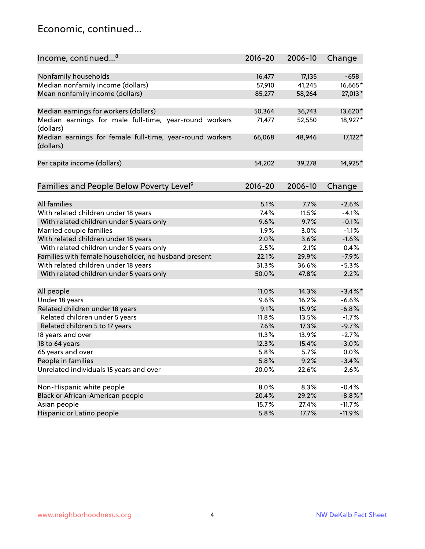#### Economic, continued...

| Income, continued <sup>8</sup>                                        | $2016 - 20$ | 2006-10 | Change     |
|-----------------------------------------------------------------------|-------------|---------|------------|
|                                                                       |             |         |            |
| Nonfamily households                                                  | 16,477      | 17,135  | $-658$     |
| Median nonfamily income (dollars)                                     | 57,910      | 41,245  | 16,665*    |
| Mean nonfamily income (dollars)                                       | 85,277      | 58,264  | 27,013*    |
| Median earnings for workers (dollars)                                 | 50,364      | 36,743  | 13,620*    |
| Median earnings for male full-time, year-round workers                | 71,477      | 52,550  | 18,927*    |
| (dollars)                                                             |             |         |            |
| Median earnings for female full-time, year-round workers<br>(dollars) | 66,068      | 48,946  | 17,122*    |
| Per capita income (dollars)                                           | 54,202      | 39,278  | 14,925*    |
|                                                                       |             |         |            |
| Families and People Below Poverty Level <sup>9</sup>                  | $2016 - 20$ | 2006-10 | Change     |
|                                                                       |             |         |            |
| <b>All families</b>                                                   | 5.1%        | 7.7%    | $-2.6%$    |
| With related children under 18 years                                  | 7.4%        | 11.5%   | $-4.1%$    |
| With related children under 5 years only                              | 9.6%        | 9.7%    | $-0.1%$    |
| Married couple families                                               | 1.9%        | 3.0%    | $-1.1%$    |
| With related children under 18 years                                  | 2.0%        | 3.6%    | $-1.6%$    |
| With related children under 5 years only                              | 2.5%        | 2.1%    | 0.4%       |
| Families with female householder, no husband present                  | 22.1%       | 29.9%   | $-7.9%$    |
| With related children under 18 years                                  | 31.3%       | 36.6%   | $-5.3%$    |
| With related children under 5 years only                              | 50.0%       | 47.8%   | 2.2%       |
|                                                                       |             |         |            |
| All people                                                            | 11.0%       | 14.3%   | $-3.4\%$ * |
| Under 18 years                                                        | 9.6%        | 16.2%   | $-6.6%$    |
| Related children under 18 years                                       | 9.1%        | 15.9%   | $-6.8%$    |
| Related children under 5 years                                        | 11.8%       | 13.5%   | $-1.7%$    |
| Related children 5 to 17 years                                        | 7.6%        | 17.3%   | $-9.7%$    |
| 18 years and over                                                     | 11.3%       | 13.9%   | $-2.7%$    |
| 18 to 64 years                                                        | 12.3%       | 15.4%   | $-3.0%$    |
| 65 years and over                                                     | 5.8%        | 5.7%    | 0.0%       |
| People in families                                                    | 5.8%        | 9.2%    | $-3.4%$    |
| Unrelated individuals 15 years and over                               | 20.0%       | 22.6%   | $-2.6%$    |
|                                                                       |             |         |            |
| Non-Hispanic white people                                             | 8.0%        | 8.3%    | $-0.4%$    |
| Black or African-American people                                      | 20.4%       | 29.2%   | $-8.8\%$ * |
| Asian people                                                          | 15.7%       | 27.4%   | $-11.7%$   |
| Hispanic or Latino people                                             | 5.8%        | 17.7%   | $-11.9%$   |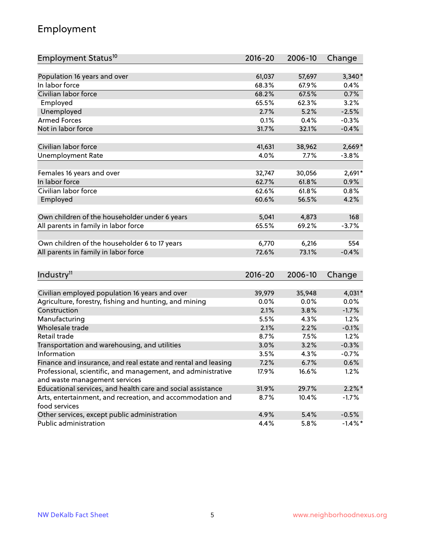## Employment

| Employment Status <sup>10</sup>                                             | $2016 - 20$ | 2006-10 | Change     |
|-----------------------------------------------------------------------------|-------------|---------|------------|
|                                                                             |             |         |            |
| Population 16 years and over                                                | 61,037      | 57,697  | $3,340*$   |
| In labor force                                                              | 68.3%       | 67.9%   | 0.4%       |
| Civilian labor force                                                        | 68.2%       | 67.5%   | 0.7%       |
| Employed                                                                    | 65.5%       | 62.3%   | 3.2%       |
| Unemployed                                                                  | 2.7%        | 5.2%    | $-2.5%$    |
| <b>Armed Forces</b>                                                         | 0.1%        | 0.4%    | $-0.3%$    |
| Not in labor force                                                          | 31.7%       | 32.1%   | $-0.4%$    |
| Civilian labor force                                                        |             |         |            |
|                                                                             | 41,631      | 38,962  | $2,669*$   |
| <b>Unemployment Rate</b>                                                    | 4.0%        | 7.7%    | $-3.8%$    |
| Females 16 years and over                                                   | 32,747      | 30,056  | $2,691*$   |
| In labor force                                                              | 62.7%       | 61.8%   | 0.9%       |
| Civilian labor force                                                        | 62.6%       | 61.8%   | 0.8%       |
| Employed                                                                    | 60.6%       | 56.5%   | 4.2%       |
|                                                                             |             |         |            |
| Own children of the householder under 6 years                               | 5,041       | 4,873   | 168        |
| All parents in family in labor force                                        | 65.5%       | 69.2%   | $-3.7%$    |
| Own children of the householder 6 to 17 years                               | 6,770       | 6,216   | 554        |
| All parents in family in labor force                                        | 72.6%       | 73.1%   | $-0.4%$    |
|                                                                             |             |         |            |
| Industry <sup>11</sup>                                                      | $2016 - 20$ | 2006-10 | Change     |
|                                                                             |             |         |            |
| Civilian employed population 16 years and over                              | 39,979      | 35,948  | 4,031*     |
| Agriculture, forestry, fishing and hunting, and mining                      | $0.0\%$     | 0.0%    | 0.0%       |
| Construction                                                                | 2.1%        | 3.8%    | $-1.7%$    |
| Manufacturing                                                               | 5.5%        | 4.3%    | 1.2%       |
| Wholesale trade                                                             | 2.1%        | 2.2%    | $-0.1%$    |
| Retail trade                                                                | 8.7%        | 7.5%    | 1.2%       |
| Transportation and warehousing, and utilities                               | 3.0%        | 3.2%    | $-0.3%$    |
| Information                                                                 | 3.5%        | 4.3%    | $-0.7%$    |
| Finance and insurance, and real estate and rental and leasing               | 7.2%        | 6.7%    | 0.6%       |
| Professional, scientific, and management, and administrative                | 17.9%       | 16.6%   | 1.2%       |
| and waste management services                                               |             |         |            |
| Educational services, and health care and social assistance                 | 31.9%       | 29.7%   | $2.2\%$ *  |
| Arts, entertainment, and recreation, and accommodation and<br>food services | 8.7%        | 10.4%   | $-1.7%$    |
| Other services, except public administration                                | 4.9%        | 5.4%    | $-0.5%$    |
| Public administration                                                       | 4.4%        | 5.8%    | $-1.4\%$ * |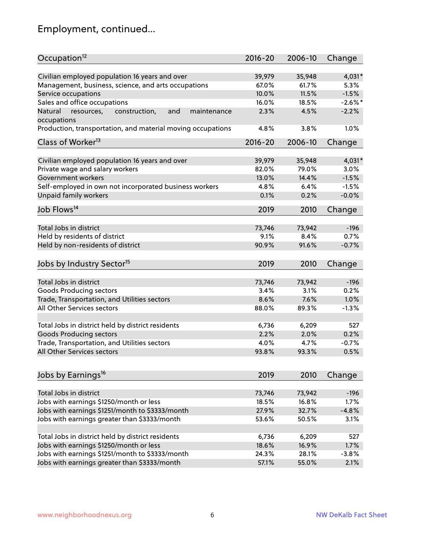# Employment, continued...

| Occupation <sup>12</sup>                                     | $2016 - 20$ | 2006-10 | Change     |
|--------------------------------------------------------------|-------------|---------|------------|
| Civilian employed population 16 years and over               | 39,979      | 35,948  | 4,031*     |
| Management, business, science, and arts occupations          | 67.0%       | 61.7%   | 5.3%       |
| Service occupations                                          | 10.0%       | 11.5%   | $-1.5%$    |
| Sales and office occupations                                 | 16.0%       | 18.5%   | $-2.6\%$ * |
| Natural<br>and<br>maintenance<br>resources,<br>construction, | 2.3%        | 4.5%    | $-2.2%$    |
| occupations                                                  |             |         |            |
| Production, transportation, and material moving occupations  | 4.8%        | 3.8%    | 1.0%       |
| Class of Worker <sup>13</sup>                                | 2016-20     | 2006-10 | Change     |
|                                                              |             |         |            |
| Civilian employed population 16 years and over               | 39,979      | 35,948  | 4,031*     |
| Private wage and salary workers                              | 82.0%       | 79.0%   | 3.0%       |
| Government workers                                           | 13.0%       | 14.4%   | $-1.5%$    |
| Self-employed in own not incorporated business workers       | 4.8%        | 6.4%    | $-1.5%$    |
| Unpaid family workers                                        | 0.1%        | 0.2%    | $-0.0%$    |
| Job Flows <sup>14</sup>                                      | 2019        | 2010    | Change     |
|                                                              |             |         |            |
| Total Jobs in district                                       | 73,746      | 73,942  | $-196$     |
| Held by residents of district                                | 9.1%        | 8.4%    | 0.7%       |
| Held by non-residents of district                            | 90.9%       | 91.6%   | $-0.7%$    |
| Jobs by Industry Sector <sup>15</sup>                        | 2019        | 2010    | Change     |
| Total Jobs in district                                       | 73,746      | 73,942  | $-196$     |
|                                                              |             | 3.1%    |            |
| Goods Producing sectors                                      | 3.4%        |         | 0.2%       |
| Trade, Transportation, and Utilities sectors                 | 8.6%        | 7.6%    | 1.0%       |
| All Other Services sectors                                   | 88.0%       | 89.3%   | $-1.3%$    |
| Total Jobs in district held by district residents            | 6,736       | 6,209   | 527        |
| <b>Goods Producing sectors</b>                               | 2.2%        | 2.0%    | 0.2%       |
| Trade, Transportation, and Utilities sectors                 | 4.0%        | 4.7%    | $-0.7%$    |
| All Other Services sectors                                   | 93.8%       | 93.3%   | 0.5%       |
|                                                              |             |         |            |
| Jobs by Earnings <sup>16</sup>                               | 2019        | 2010    | Change     |
| Total Jobs in district                                       | 73,746      | 73,942  | $-196$     |
| Jobs with earnings \$1250/month or less                      | 18.5%       | 16.8%   | 1.7%       |
| Jobs with earnings \$1251/month to \$3333/month              | 27.9%       | 32.7%   | $-4.8%$    |
|                                                              |             |         |            |
| Jobs with earnings greater than \$3333/month                 | 53.6%       | 50.5%   | 3.1%       |
| Total Jobs in district held by district residents            | 6,736       | 6,209   | 527        |
| Jobs with earnings \$1250/month or less                      | 18.6%       | 16.9%   | 1.7%       |
| Jobs with earnings \$1251/month to \$3333/month              | 24.3%       | 28.1%   | $-3.8%$    |
| Jobs with earnings greater than \$3333/month                 | 57.1%       | 55.0%   | 2.1%       |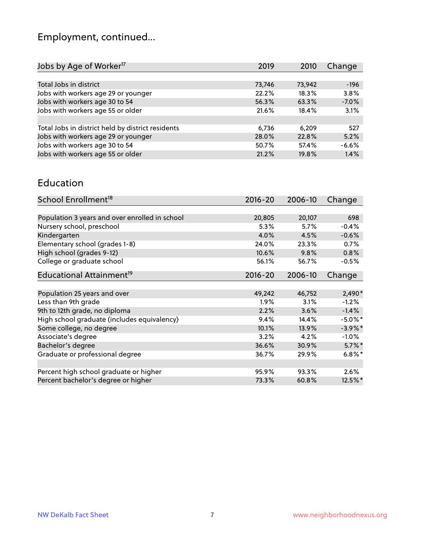# Employment, continued...

| Jobs by Age of Worker <sup>17</sup>               | 2019   | 2010   | Change  |
|---------------------------------------------------|--------|--------|---------|
|                                                   |        |        |         |
| Total Jobs in district                            | 73,746 | 73,942 | $-196$  |
| Jobs with workers age 29 or younger               | 22.2%  | 18.3%  | 3.8%    |
| Jobs with workers age 30 to 54                    | 56.3%  | 63.3%  | $-7.0%$ |
| Jobs with workers age 55 or older                 | 21.6%  | 18.4%  | 3.1%    |
|                                                   |        |        |         |
| Total Jobs in district held by district residents | 6,736  | 6.209  | 527     |
| Jobs with workers age 29 or younger               | 28.0%  | 22.8%  | 5.2%    |
| Jobs with workers age 30 to 54                    | 50.7%  | 57.4%  | $-6.6%$ |
| Jobs with workers age 55 or older                 | 21.2%  | 19.8%  | 1.4%    |

#### Education

| School Enrollment <sup>18</sup>                | $2016 - 20$ | 2006-10 | Change     |
|------------------------------------------------|-------------|---------|------------|
|                                                |             |         |            |
| Population 3 years and over enrolled in school | 20,805      | 20,107  | 698        |
| Nursery school, preschool                      | 5.3%        | 5.7%    | $-0.4%$    |
| Kindergarten                                   | 4.0%        | 4.5%    | $-0.6%$    |
| Elementary school (grades 1-8)                 | 24.0%       | 23.3%   | 0.7%       |
| High school (grades 9-12)                      | 10.6%       | 9.8%    | 0.8%       |
| College or graduate school                     | 56.1%       | 56.7%   | $-0.5%$    |
| Educational Attainment <sup>19</sup>           | $2016 - 20$ | 2006-10 | Change     |
|                                                |             |         |            |
| Population 25 years and over                   | 49,242      | 46,752  | $2,490*$   |
| Less than 9th grade                            | 1.9%        | 3.1%    | $-1.2%$    |
| 9th to 12th grade, no diploma                  | 2.2%        | 3.6%    | $-1.4%$    |
| High school graduate (includes equivalency)    | 9.4%        | 14.4%   | $-5.0\%$ * |
| Some college, no degree                        | 10.1%       | 13.9%   | $-3.9\%$ * |
| Associate's degree                             | 3.2%        | 4.2%    | $-1.0%$    |
| Bachelor's degree                              | 36.6%       | 30.9%   | $5.7\%$ *  |
| Graduate or professional degree                | 36.7%       | 29.9%   | $6.8\%$ *  |
|                                                |             |         |            |
| Percent high school graduate or higher         | 95.9%       | 93.3%   | 2.6%       |
| Percent bachelor's degree or higher            | 73.3%       | 60.8%   | 12.5%*     |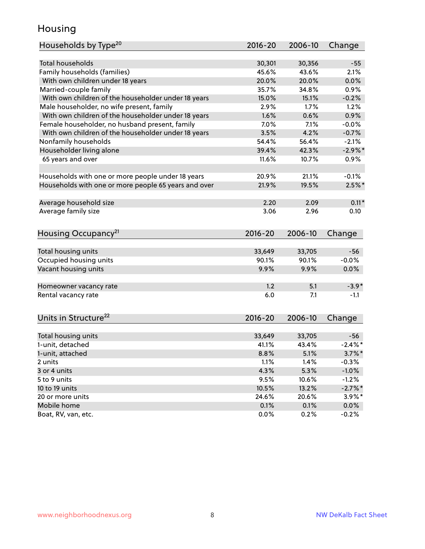## Housing

| Households by Type <sup>20</sup>                     | 2016-20     | 2006-10 | Change     |
|------------------------------------------------------|-------------|---------|------------|
|                                                      |             |         |            |
| <b>Total households</b>                              | 30,301      | 30,356  | $-55$      |
| Family households (families)                         | 45.6%       | 43.6%   | 2.1%       |
| With own children under 18 years                     | 20.0%       | 20.0%   | 0.0%       |
| Married-couple family                                | 35.7%       | 34.8%   | 0.9%       |
| With own children of the householder under 18 years  | 15.0%       | 15.1%   | $-0.2%$    |
| Male householder, no wife present, family            | 2.9%        | 1.7%    | 1.2%       |
| With own children of the householder under 18 years  | 1.6%        | 0.6%    | 0.9%       |
| Female householder, no husband present, family       | 7.0%        | 7.1%    | $-0.0%$    |
| With own children of the householder under 18 years  | 3.5%        | 4.2%    | $-0.7%$    |
| Nonfamily households                                 | 54.4%       | 56.4%   | $-2.1%$    |
| Householder living alone                             | 39.4%       | 42.3%   | $-2.9\%$ * |
| 65 years and over                                    | 11.6%       | 10.7%   | 0.9%       |
|                                                      |             |         |            |
| Households with one or more people under 18 years    | 20.9%       | 21.1%   | $-0.1%$    |
| Households with one or more people 65 years and over | 21.9%       | 19.5%   | $2.5\%$ *  |
|                                                      |             |         | $0.11*$    |
| Average household size                               | 2.20        | 2.09    |            |
| Average family size                                  | 3.06        | 2.96    | 0.10       |
| Housing Occupancy <sup>21</sup>                      | $2016 - 20$ | 2006-10 | Change     |
|                                                      |             |         |            |
| Total housing units                                  | 33,649      | 33,705  | $-56$      |
| Occupied housing units                               | 90.1%       | 90.1%   | $-0.0%$    |
| Vacant housing units                                 | 9.9%        | 9.9%    | 0.0%       |
| Homeowner vacancy rate                               | 1.2         | 5.1     | $-3.9*$    |
| Rental vacancy rate                                  | 6.0         | 7.1     | $-1.1$     |
|                                                      |             |         |            |
| Units in Structure <sup>22</sup>                     | 2016-20     | 2006-10 | Change     |
| Total housing units                                  | 33,649      | 33,705  | $-56$      |
| 1-unit, detached                                     | 41.1%       | 43.4%   | $-2.4\%$ * |
| 1-unit, attached                                     | 8.8%        | 5.1%    | $3.7\%$ *  |
| 2 units                                              | 1.1%        | 1.4%    | $-0.3%$    |
| 3 or 4 units                                         | 4.3%        | 5.3%    | $-1.0%$    |
| 5 to 9 units                                         | 9.5%        | 10.6%   | $-1.2%$    |
| 10 to 19 units                                       | 10.5%       | 13.2%   | $-2.7\%$ * |
| 20 or more units                                     | 24.6%       | 20.6%   | $3.9\%$ *  |
| Mobile home                                          | 0.1%        | 0.1%    | $0.0\%$    |
| Boat, RV, van, etc.                                  | 0.0%        | 0.2%    | $-0.2%$    |
|                                                      |             |         |            |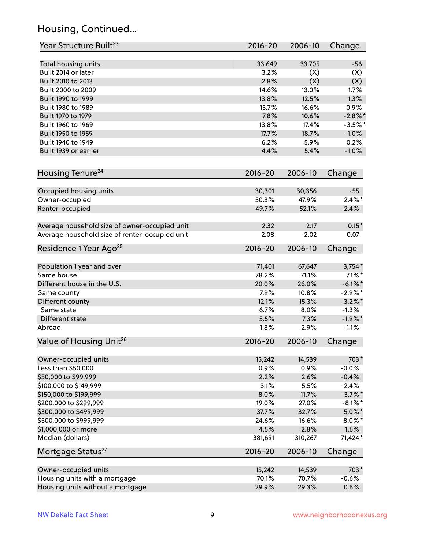## Housing, Continued...

| Total housing units<br>33,705<br>33,649<br>$-56$<br>Built 2014 or later<br>3.2%<br>(X)<br>(X)<br>Built 2010 to 2013<br>2.8%<br>(X)<br>(X)<br>Built 2000 to 2009<br>14.6%<br>13.0%<br>1.7%<br>13.8%<br>12.5%<br>1.3%<br>Built 1990 to 1999<br>Built 1980 to 1989<br>15.7%<br>16.6%<br>$-0.9%$<br>Built 1970 to 1979<br>7.8%<br>10.6%<br>$-2.8\%$ *<br>Built 1960 to 1969<br>13.8%<br>$-3.5%$ *<br>17.4%<br>Built 1950 to 1959<br>17.7%<br>18.7%<br>$-1.0%$<br>6.2%<br>Built 1940 to 1949<br>5.9%<br>0.2%<br>4.4%<br>Built 1939 or earlier<br>5.4%<br>$-1.0%$<br>$2016 - 20$<br>2006-10<br>Change<br>Occupied housing units<br>30,301<br>30,356<br>$-55$<br>$2.4\%$ *<br>50.3%<br>47.9%<br>Owner-occupied<br>$-2.4%$<br>Renter-occupied<br>49.7%<br>52.1%<br>Average household size of owner-occupied unit<br>2.32<br>2.17<br>$0.15*$<br>Average household size of renter-occupied unit<br>2.02<br>0.07<br>2.08<br>Residence 1 Year Ago <sup>25</sup><br>$2016 - 20$<br>2006-10<br>Change<br>$3,754*$<br>Population 1 year and over<br>71,401<br>67,647<br>Same house<br>71.1%<br>$7.1\%$ *<br>78.2%<br>Different house in the U.S.<br>26.0%<br>$-6.1\%$ *<br>20.0%<br>7.9%<br>10.8%<br>$-2.9\%$ *<br>Same county<br>Different county<br>12.1%<br>15.3%<br>$-3.2\%$ *<br>Same state<br>6.7%<br>8.0%<br>$-1.3%$<br>7.3%<br>Different state<br>5.5%<br>$-1.9%$ *<br>1.8%<br>2.9%<br>$-1.1%$<br>Value of Housing Unit <sup>26</sup><br>2016-20<br>2006-10<br>Change<br>703*<br>Owner-occupied units<br>15,242<br>14,539<br>Less than \$50,000<br>0.9%<br>$-0.0%$<br>0.9%<br>2.6%<br>\$50,000 to \$99,999<br>2.2%<br>$-0.4%$<br>$-2.4%$<br>\$100,000 to \$149,999<br>3.1%<br>5.5%<br>8.0%<br>$-3.7\%$ *<br>\$150,000 to \$199,999<br>11.7%<br>\$200,000 to \$299,999<br>$-8.1\%$ *<br>19.0%<br>27.0%<br>37.7%<br>$5.0\%$ *<br>\$300,000 to \$499,999<br>32.7%<br>$8.0\%$ *<br>\$500,000 to \$999,999<br>24.6%<br>16.6%<br>1.6%<br>\$1,000,000 or more<br>4.5%<br>2.8%<br>Median (dollars)<br>71,424*<br>381,691<br>310,267<br>Mortgage Status <sup>27</sup><br>$2016 - 20$<br>2006-10<br>Change<br>Owner-occupied units<br>15,242<br>14,539<br>703*<br>Housing units with a mortgage<br>70.1%<br>70.7%<br>$-0.6%$<br>Housing units without a mortgage<br>29.9%<br>29.3%<br>0.6% | Year Structure Built <sup>23</sup> | 2016-20 | 2006-10 | Change |
|---------------------------------------------------------------------------------------------------------------------------------------------------------------------------------------------------------------------------------------------------------------------------------------------------------------------------------------------------------------------------------------------------------------------------------------------------------------------------------------------------------------------------------------------------------------------------------------------------------------------------------------------------------------------------------------------------------------------------------------------------------------------------------------------------------------------------------------------------------------------------------------------------------------------------------------------------------------------------------------------------------------------------------------------------------------------------------------------------------------------------------------------------------------------------------------------------------------------------------------------------------------------------------------------------------------------------------------------------------------------------------------------------------------------------------------------------------------------------------------------------------------------------------------------------------------------------------------------------------------------------------------------------------------------------------------------------------------------------------------------------------------------------------------------------------------------------------------------------------------------------------------------------------------------------------------------------------------------------------------------------------------------------------------------------------------------------------------------------------------------------------------------------------------------------------------------------------------------------------------------------------------------------|------------------------------------|---------|---------|--------|
|                                                                                                                                                                                                                                                                                                                                                                                                                                                                                                                                                                                                                                                                                                                                                                                                                                                                                                                                                                                                                                                                                                                                                                                                                                                                                                                                                                                                                                                                                                                                                                                                                                                                                                                                                                                                                                                                                                                                                                                                                                                                                                                                                                                                                                                                           |                                    |         |         |        |
|                                                                                                                                                                                                                                                                                                                                                                                                                                                                                                                                                                                                                                                                                                                                                                                                                                                                                                                                                                                                                                                                                                                                                                                                                                                                                                                                                                                                                                                                                                                                                                                                                                                                                                                                                                                                                                                                                                                                                                                                                                                                                                                                                                                                                                                                           |                                    |         |         |        |
|                                                                                                                                                                                                                                                                                                                                                                                                                                                                                                                                                                                                                                                                                                                                                                                                                                                                                                                                                                                                                                                                                                                                                                                                                                                                                                                                                                                                                                                                                                                                                                                                                                                                                                                                                                                                                                                                                                                                                                                                                                                                                                                                                                                                                                                                           |                                    |         |         |        |
|                                                                                                                                                                                                                                                                                                                                                                                                                                                                                                                                                                                                                                                                                                                                                                                                                                                                                                                                                                                                                                                                                                                                                                                                                                                                                                                                                                                                                                                                                                                                                                                                                                                                                                                                                                                                                                                                                                                                                                                                                                                                                                                                                                                                                                                                           |                                    |         |         |        |
|                                                                                                                                                                                                                                                                                                                                                                                                                                                                                                                                                                                                                                                                                                                                                                                                                                                                                                                                                                                                                                                                                                                                                                                                                                                                                                                                                                                                                                                                                                                                                                                                                                                                                                                                                                                                                                                                                                                                                                                                                                                                                                                                                                                                                                                                           |                                    |         |         |        |
|                                                                                                                                                                                                                                                                                                                                                                                                                                                                                                                                                                                                                                                                                                                                                                                                                                                                                                                                                                                                                                                                                                                                                                                                                                                                                                                                                                                                                                                                                                                                                                                                                                                                                                                                                                                                                                                                                                                                                                                                                                                                                                                                                                                                                                                                           |                                    |         |         |        |
|                                                                                                                                                                                                                                                                                                                                                                                                                                                                                                                                                                                                                                                                                                                                                                                                                                                                                                                                                                                                                                                                                                                                                                                                                                                                                                                                                                                                                                                                                                                                                                                                                                                                                                                                                                                                                                                                                                                                                                                                                                                                                                                                                                                                                                                                           |                                    |         |         |        |
|                                                                                                                                                                                                                                                                                                                                                                                                                                                                                                                                                                                                                                                                                                                                                                                                                                                                                                                                                                                                                                                                                                                                                                                                                                                                                                                                                                                                                                                                                                                                                                                                                                                                                                                                                                                                                                                                                                                                                                                                                                                                                                                                                                                                                                                                           |                                    |         |         |        |
|                                                                                                                                                                                                                                                                                                                                                                                                                                                                                                                                                                                                                                                                                                                                                                                                                                                                                                                                                                                                                                                                                                                                                                                                                                                                                                                                                                                                                                                                                                                                                                                                                                                                                                                                                                                                                                                                                                                                                                                                                                                                                                                                                                                                                                                                           |                                    |         |         |        |
|                                                                                                                                                                                                                                                                                                                                                                                                                                                                                                                                                                                                                                                                                                                                                                                                                                                                                                                                                                                                                                                                                                                                                                                                                                                                                                                                                                                                                                                                                                                                                                                                                                                                                                                                                                                                                                                                                                                                                                                                                                                                                                                                                                                                                                                                           |                                    |         |         |        |
|                                                                                                                                                                                                                                                                                                                                                                                                                                                                                                                                                                                                                                                                                                                                                                                                                                                                                                                                                                                                                                                                                                                                                                                                                                                                                                                                                                                                                                                                                                                                                                                                                                                                                                                                                                                                                                                                                                                                                                                                                                                                                                                                                                                                                                                                           |                                    |         |         |        |
|                                                                                                                                                                                                                                                                                                                                                                                                                                                                                                                                                                                                                                                                                                                                                                                                                                                                                                                                                                                                                                                                                                                                                                                                                                                                                                                                                                                                                                                                                                                                                                                                                                                                                                                                                                                                                                                                                                                                                                                                                                                                                                                                                                                                                                                                           |                                    |         |         |        |
|                                                                                                                                                                                                                                                                                                                                                                                                                                                                                                                                                                                                                                                                                                                                                                                                                                                                                                                                                                                                                                                                                                                                                                                                                                                                                                                                                                                                                                                                                                                                                                                                                                                                                                                                                                                                                                                                                                                                                                                                                                                                                                                                                                                                                                                                           | Housing Tenure <sup>24</sup>       |         |         |        |
|                                                                                                                                                                                                                                                                                                                                                                                                                                                                                                                                                                                                                                                                                                                                                                                                                                                                                                                                                                                                                                                                                                                                                                                                                                                                                                                                                                                                                                                                                                                                                                                                                                                                                                                                                                                                                                                                                                                                                                                                                                                                                                                                                                                                                                                                           |                                    |         |         |        |
|                                                                                                                                                                                                                                                                                                                                                                                                                                                                                                                                                                                                                                                                                                                                                                                                                                                                                                                                                                                                                                                                                                                                                                                                                                                                                                                                                                                                                                                                                                                                                                                                                                                                                                                                                                                                                                                                                                                                                                                                                                                                                                                                                                                                                                                                           |                                    |         |         |        |
|                                                                                                                                                                                                                                                                                                                                                                                                                                                                                                                                                                                                                                                                                                                                                                                                                                                                                                                                                                                                                                                                                                                                                                                                                                                                                                                                                                                                                                                                                                                                                                                                                                                                                                                                                                                                                                                                                                                                                                                                                                                                                                                                                                                                                                                                           |                                    |         |         |        |
|                                                                                                                                                                                                                                                                                                                                                                                                                                                                                                                                                                                                                                                                                                                                                                                                                                                                                                                                                                                                                                                                                                                                                                                                                                                                                                                                                                                                                                                                                                                                                                                                                                                                                                                                                                                                                                                                                                                                                                                                                                                                                                                                                                                                                                                                           |                                    |         |         |        |
|                                                                                                                                                                                                                                                                                                                                                                                                                                                                                                                                                                                                                                                                                                                                                                                                                                                                                                                                                                                                                                                                                                                                                                                                                                                                                                                                                                                                                                                                                                                                                                                                                                                                                                                                                                                                                                                                                                                                                                                                                                                                                                                                                                                                                                                                           |                                    |         |         |        |
|                                                                                                                                                                                                                                                                                                                                                                                                                                                                                                                                                                                                                                                                                                                                                                                                                                                                                                                                                                                                                                                                                                                                                                                                                                                                                                                                                                                                                                                                                                                                                                                                                                                                                                                                                                                                                                                                                                                                                                                                                                                                                                                                                                                                                                                                           |                                    |         |         |        |
|                                                                                                                                                                                                                                                                                                                                                                                                                                                                                                                                                                                                                                                                                                                                                                                                                                                                                                                                                                                                                                                                                                                                                                                                                                                                                                                                                                                                                                                                                                                                                                                                                                                                                                                                                                                                                                                                                                                                                                                                                                                                                                                                                                                                                                                                           |                                    |         |         |        |
|                                                                                                                                                                                                                                                                                                                                                                                                                                                                                                                                                                                                                                                                                                                                                                                                                                                                                                                                                                                                                                                                                                                                                                                                                                                                                                                                                                                                                                                                                                                                                                                                                                                                                                                                                                                                                                                                                                                                                                                                                                                                                                                                                                                                                                                                           |                                    |         |         |        |
|                                                                                                                                                                                                                                                                                                                                                                                                                                                                                                                                                                                                                                                                                                                                                                                                                                                                                                                                                                                                                                                                                                                                                                                                                                                                                                                                                                                                                                                                                                                                                                                                                                                                                                                                                                                                                                                                                                                                                                                                                                                                                                                                                                                                                                                                           |                                    |         |         |        |
|                                                                                                                                                                                                                                                                                                                                                                                                                                                                                                                                                                                                                                                                                                                                                                                                                                                                                                                                                                                                                                                                                                                                                                                                                                                                                                                                                                                                                                                                                                                                                                                                                                                                                                                                                                                                                                                                                                                                                                                                                                                                                                                                                                                                                                                                           |                                    |         |         |        |
|                                                                                                                                                                                                                                                                                                                                                                                                                                                                                                                                                                                                                                                                                                                                                                                                                                                                                                                                                                                                                                                                                                                                                                                                                                                                                                                                                                                                                                                                                                                                                                                                                                                                                                                                                                                                                                                                                                                                                                                                                                                                                                                                                                                                                                                                           |                                    |         |         |        |
|                                                                                                                                                                                                                                                                                                                                                                                                                                                                                                                                                                                                                                                                                                                                                                                                                                                                                                                                                                                                                                                                                                                                                                                                                                                                                                                                                                                                                                                                                                                                                                                                                                                                                                                                                                                                                                                                                                                                                                                                                                                                                                                                                                                                                                                                           |                                    |         |         |        |
|                                                                                                                                                                                                                                                                                                                                                                                                                                                                                                                                                                                                                                                                                                                                                                                                                                                                                                                                                                                                                                                                                                                                                                                                                                                                                                                                                                                                                                                                                                                                                                                                                                                                                                                                                                                                                                                                                                                                                                                                                                                                                                                                                                                                                                                                           |                                    |         |         |        |
|                                                                                                                                                                                                                                                                                                                                                                                                                                                                                                                                                                                                                                                                                                                                                                                                                                                                                                                                                                                                                                                                                                                                                                                                                                                                                                                                                                                                                                                                                                                                                                                                                                                                                                                                                                                                                                                                                                                                                                                                                                                                                                                                                                                                                                                                           |                                    |         |         |        |
|                                                                                                                                                                                                                                                                                                                                                                                                                                                                                                                                                                                                                                                                                                                                                                                                                                                                                                                                                                                                                                                                                                                                                                                                                                                                                                                                                                                                                                                                                                                                                                                                                                                                                                                                                                                                                                                                                                                                                                                                                                                                                                                                                                                                                                                                           |                                    |         |         |        |
|                                                                                                                                                                                                                                                                                                                                                                                                                                                                                                                                                                                                                                                                                                                                                                                                                                                                                                                                                                                                                                                                                                                                                                                                                                                                                                                                                                                                                                                                                                                                                                                                                                                                                                                                                                                                                                                                                                                                                                                                                                                                                                                                                                                                                                                                           | Abroad                             |         |         |        |
|                                                                                                                                                                                                                                                                                                                                                                                                                                                                                                                                                                                                                                                                                                                                                                                                                                                                                                                                                                                                                                                                                                                                                                                                                                                                                                                                                                                                                                                                                                                                                                                                                                                                                                                                                                                                                                                                                                                                                                                                                                                                                                                                                                                                                                                                           |                                    |         |         |        |
|                                                                                                                                                                                                                                                                                                                                                                                                                                                                                                                                                                                                                                                                                                                                                                                                                                                                                                                                                                                                                                                                                                                                                                                                                                                                                                                                                                                                                                                                                                                                                                                                                                                                                                                                                                                                                                                                                                                                                                                                                                                                                                                                                                                                                                                                           |                                    |         |         |        |
|                                                                                                                                                                                                                                                                                                                                                                                                                                                                                                                                                                                                                                                                                                                                                                                                                                                                                                                                                                                                                                                                                                                                                                                                                                                                                                                                                                                                                                                                                                                                                                                                                                                                                                                                                                                                                                                                                                                                                                                                                                                                                                                                                                                                                                                                           |                                    |         |         |        |
|                                                                                                                                                                                                                                                                                                                                                                                                                                                                                                                                                                                                                                                                                                                                                                                                                                                                                                                                                                                                                                                                                                                                                                                                                                                                                                                                                                                                                                                                                                                                                                                                                                                                                                                                                                                                                                                                                                                                                                                                                                                                                                                                                                                                                                                                           |                                    |         |         |        |
|                                                                                                                                                                                                                                                                                                                                                                                                                                                                                                                                                                                                                                                                                                                                                                                                                                                                                                                                                                                                                                                                                                                                                                                                                                                                                                                                                                                                                                                                                                                                                                                                                                                                                                                                                                                                                                                                                                                                                                                                                                                                                                                                                                                                                                                                           |                                    |         |         |        |
|                                                                                                                                                                                                                                                                                                                                                                                                                                                                                                                                                                                                                                                                                                                                                                                                                                                                                                                                                                                                                                                                                                                                                                                                                                                                                                                                                                                                                                                                                                                                                                                                                                                                                                                                                                                                                                                                                                                                                                                                                                                                                                                                                                                                                                                                           |                                    |         |         |        |
|                                                                                                                                                                                                                                                                                                                                                                                                                                                                                                                                                                                                                                                                                                                                                                                                                                                                                                                                                                                                                                                                                                                                                                                                                                                                                                                                                                                                                                                                                                                                                                                                                                                                                                                                                                                                                                                                                                                                                                                                                                                                                                                                                                                                                                                                           |                                    |         |         |        |
|                                                                                                                                                                                                                                                                                                                                                                                                                                                                                                                                                                                                                                                                                                                                                                                                                                                                                                                                                                                                                                                                                                                                                                                                                                                                                                                                                                                                                                                                                                                                                                                                                                                                                                                                                                                                                                                                                                                                                                                                                                                                                                                                                                                                                                                                           |                                    |         |         |        |
|                                                                                                                                                                                                                                                                                                                                                                                                                                                                                                                                                                                                                                                                                                                                                                                                                                                                                                                                                                                                                                                                                                                                                                                                                                                                                                                                                                                                                                                                                                                                                                                                                                                                                                                                                                                                                                                                                                                                                                                                                                                                                                                                                                                                                                                                           |                                    |         |         |        |
|                                                                                                                                                                                                                                                                                                                                                                                                                                                                                                                                                                                                                                                                                                                                                                                                                                                                                                                                                                                                                                                                                                                                                                                                                                                                                                                                                                                                                                                                                                                                                                                                                                                                                                                                                                                                                                                                                                                                                                                                                                                                                                                                                                                                                                                                           |                                    |         |         |        |
|                                                                                                                                                                                                                                                                                                                                                                                                                                                                                                                                                                                                                                                                                                                                                                                                                                                                                                                                                                                                                                                                                                                                                                                                                                                                                                                                                                                                                                                                                                                                                                                                                                                                                                                                                                                                                                                                                                                                                                                                                                                                                                                                                                                                                                                                           |                                    |         |         |        |
|                                                                                                                                                                                                                                                                                                                                                                                                                                                                                                                                                                                                                                                                                                                                                                                                                                                                                                                                                                                                                                                                                                                                                                                                                                                                                                                                                                                                                                                                                                                                                                                                                                                                                                                                                                                                                                                                                                                                                                                                                                                                                                                                                                                                                                                                           |                                    |         |         |        |
|                                                                                                                                                                                                                                                                                                                                                                                                                                                                                                                                                                                                                                                                                                                                                                                                                                                                                                                                                                                                                                                                                                                                                                                                                                                                                                                                                                                                                                                                                                                                                                                                                                                                                                                                                                                                                                                                                                                                                                                                                                                                                                                                                                                                                                                                           |                                    |         |         |        |
|                                                                                                                                                                                                                                                                                                                                                                                                                                                                                                                                                                                                                                                                                                                                                                                                                                                                                                                                                                                                                                                                                                                                                                                                                                                                                                                                                                                                                                                                                                                                                                                                                                                                                                                                                                                                                                                                                                                                                                                                                                                                                                                                                                                                                                                                           |                                    |         |         |        |
|                                                                                                                                                                                                                                                                                                                                                                                                                                                                                                                                                                                                                                                                                                                                                                                                                                                                                                                                                                                                                                                                                                                                                                                                                                                                                                                                                                                                                                                                                                                                                                                                                                                                                                                                                                                                                                                                                                                                                                                                                                                                                                                                                                                                                                                                           |                                    |         |         |        |
|                                                                                                                                                                                                                                                                                                                                                                                                                                                                                                                                                                                                                                                                                                                                                                                                                                                                                                                                                                                                                                                                                                                                                                                                                                                                                                                                                                                                                                                                                                                                                                                                                                                                                                                                                                                                                                                                                                                                                                                                                                                                                                                                                                                                                                                                           |                                    |         |         |        |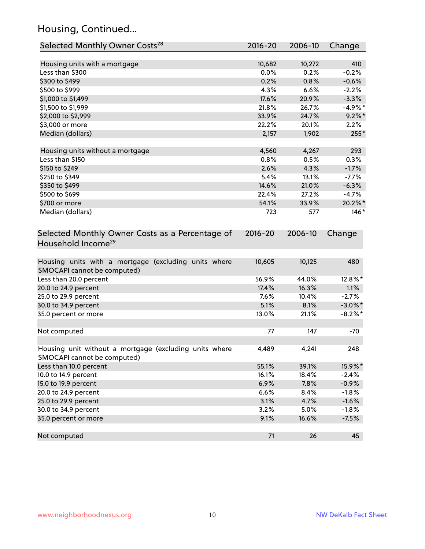## Housing, Continued...

| Selected Monthly Owner Costs <sup>28</sup>                                            | 2016-20     | 2006-10 | Change     |
|---------------------------------------------------------------------------------------|-------------|---------|------------|
| Housing units with a mortgage                                                         | 10,682      | 10,272  | 410        |
| Less than \$300                                                                       | 0.0%        | 0.2%    | $-0.2%$    |
| \$300 to \$499                                                                        | 0.2%        | 0.8%    | $-0.6%$    |
| \$500 to \$999                                                                        | 4.3%        | 6.6%    | $-2.2%$    |
| \$1,000 to \$1,499                                                                    | 17.6%       | 20.9%   | $-3.3%$    |
| \$1,500 to \$1,999                                                                    | 21.8%       | 26.7%   | $-4.9%$ *  |
| \$2,000 to \$2,999                                                                    | 33.9%       | 24.7%   | $9.2\%$ *  |
| \$3,000 or more                                                                       | 22.2%       | 20.1%   | 2.2%       |
| Median (dollars)                                                                      | 2,157       | 1,902   | 255*       |
|                                                                                       |             |         |            |
| Housing units without a mortgage                                                      | 4,560       | 4,267   | 293        |
| Less than \$150                                                                       | 0.8%        | 0.5%    | 0.3%       |
| \$150 to \$249                                                                        | 2.6%        | 4.3%    | $-1.7%$    |
| \$250 to \$349                                                                        | 5.4%        | 13.1%   | $-7.7%$    |
| \$350 to \$499                                                                        | 14.6%       | 21.0%   | $-6.3%$    |
| \$500 to \$699                                                                        | 22.4%       | 27.2%   | $-4.7%$    |
| \$700 or more                                                                         | 54.1%       | 33.9%   | 20.2%*     |
| Median (dollars)                                                                      | 723         | 577     | $146*$     |
| Selected Monthly Owner Costs as a Percentage of<br>Household Income <sup>29</sup>     | $2016 - 20$ | 2006-10 | Change     |
| Housing units with a mortgage (excluding units where<br>SMOCAPI cannot be computed)   | 10,605      | 10,125  | 480        |
| Less than 20.0 percent                                                                | 56.9%       | 44.0%   | 12.8%*     |
| 20.0 to 24.9 percent                                                                  | 17.4%       | 16.3%   | 1.1%       |
| 25.0 to 29.9 percent                                                                  | 7.6%        | 10.4%   | $-2.7%$    |
| 30.0 to 34.9 percent                                                                  | 5.1%        | 8.1%    | $-3.0\%$ * |
| 35.0 percent or more                                                                  | 13.0%       | 21.1%   | $-8.2\%$ * |
| Not computed                                                                          | 77          | 147     | $-70$      |
| Housing unit without a mortgage (excluding units where<br>SMOCAPI cannot be computed) | 4,489       | 4,241   | 248        |
| Less than 10.0 percent                                                                | 55.1%       | 39.1%   | 15.9%*     |
| 10.0 to 14.9 percent                                                                  | 16.1%       | 18.4%   | $-2.4%$    |
| 15.0 to 19.9 percent                                                                  | 6.9%        | 7.8%    | $-0.9%$    |
| 20.0 to 24.9 percent                                                                  | 6.6%        | 8.4%    | $-1.8%$    |
| 25.0 to 29.9 percent                                                                  | 3.1%        | 4.7%    | $-1.6%$    |
| 30.0 to 34.9 percent                                                                  | 3.2%        | 5.0%    | $-1.8%$    |
| 35.0 percent or more                                                                  | 9.1%        | 16.6%   | $-7.5%$    |
| Not computed                                                                          | 71          | 26      | 45         |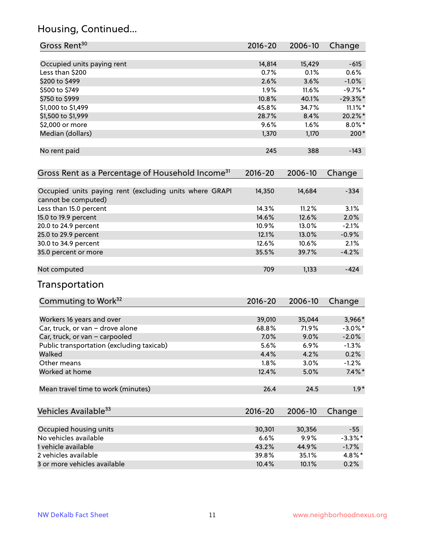## Housing, Continued...

| Gross Rent <sup>30</sup>                                                       | 2016-20     | 2006-10 | Change     |
|--------------------------------------------------------------------------------|-------------|---------|------------|
| Occupied units paying rent                                                     | 14,814      | 15,429  | $-615$     |
| Less than \$200                                                                | 0.7%        | 0.1%    | 0.6%       |
| \$200 to \$499                                                                 | 2.6%        | 3.6%    | $-1.0%$    |
| \$500 to \$749                                                                 | 1.9%        | 11.6%   | $-9.7%$ *  |
| \$750 to \$999                                                                 | 10.8%       | 40.1%   | $-29.3%$   |
| \$1,000 to \$1,499                                                             | 45.8%       | 34.7%   | $11.1\%$ * |
| \$1,500 to \$1,999                                                             | 28.7%       | 8.4%    | 20.2%*     |
| \$2,000 or more                                                                | 9.6%        | 1.6%    | $8.0\%$ *  |
| Median (dollars)                                                               | 1,370       | 1,170   | $200*$     |
| No rent paid                                                                   | 245         | 388     | $-143$     |
| Gross Rent as a Percentage of Household Income <sup>31</sup>                   | $2016 - 20$ | 2006-10 | Change     |
| Occupied units paying rent (excluding units where GRAPI<br>cannot be computed) | 14,350      | 14,684  | $-334$     |
| Less than 15.0 percent                                                         | 14.3%       | 11.2%   | 3.1%       |
| 15.0 to 19.9 percent                                                           | 14.6%       | 12.6%   | 2.0%       |
| 20.0 to 24.9 percent                                                           | 10.9%       | 13.0%   | $-2.1%$    |
| 25.0 to 29.9 percent                                                           | 12.1%       | 13.0%   | $-0.9%$    |
| 30.0 to 34.9 percent                                                           | 12.6%       | 10.6%   | 2.1%       |
| 35.0 percent or more                                                           | 35.5%       | 39.7%   | $-4.2%$    |
| Not computed                                                                   | 709         | 1,133   | $-424$     |
| Transportation                                                                 |             |         |            |
| Commuting to Work <sup>32</sup>                                                | 2016-20     | 2006-10 | Change     |
| Workers 16 years and over                                                      | 39,010      | 35,044  | 3,966*     |
| Car, truck, or van - drove alone                                               | 68.8%       | 71.9%   | $-3.0\%$ * |
| Car, truck, or van - carpooled                                                 | 7.0%        | 9.0%    | $-2.0%$    |
| Public transportation (excluding taxicab)                                      | 5.6%        | 6.9%    | $-1.3%$    |
| Walked                                                                         | 4.4%        | 4.2%    | 0.2%       |
| Other means                                                                    | 1.8%        | 3.0%    | $-1.2%$    |
| Worked at home                                                                 | 12.4%       | 5.0%    | $7.4\%$ *  |
| Mean travel time to work (minutes)                                             | 26.4        | 24.5    | $1.9*$     |
| Vehicles Available <sup>33</sup>                                               | $2016 - 20$ | 2006-10 | Change     |
| Occupied housing units                                                         | 30,301      | 30,356  | $-55$      |
| No vehicles available                                                          | 6.6%        | 9.9%    | $-3.3\%$ * |
| 1 vehicle available                                                            | 43.2%       | 44.9%   | $-1.7%$    |
| 2 vehicles available                                                           | 39.8%       | 35.1%   | 4.8%*      |
| 3 or more vehicles available                                                   | 10.4%       | 10.1%   | 0.2%       |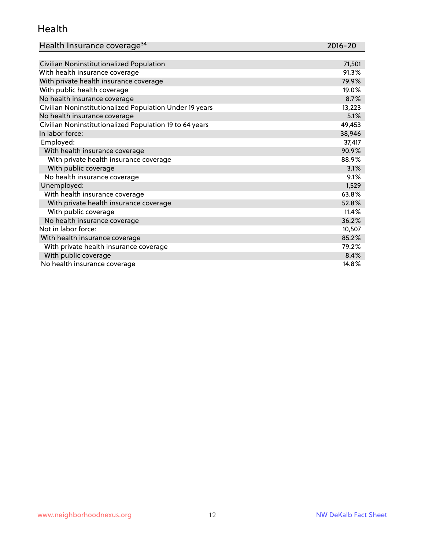#### Health

| Health Insurance coverage <sup>34</sup>                 | 2016-20 |
|---------------------------------------------------------|---------|
|                                                         |         |
| Civilian Noninstitutionalized Population                | 71,501  |
| With health insurance coverage                          | 91.3%   |
| With private health insurance coverage                  | 79.9%   |
| With public health coverage                             | 19.0%   |
| No health insurance coverage                            | 8.7%    |
| Civilian Noninstitutionalized Population Under 19 years | 13,223  |
| No health insurance coverage                            | 5.1%    |
| Civilian Noninstitutionalized Population 19 to 64 years | 49,453  |
| In labor force:                                         | 38,946  |
| Employed:                                               | 37,417  |
| With health insurance coverage                          | 90.9%   |
| With private health insurance coverage                  | 88.9%   |
| With public coverage                                    | 3.1%    |
| No health insurance coverage                            | 9.1%    |
| Unemployed:                                             | 1,529   |
| With health insurance coverage                          | 63.8%   |
| With private health insurance coverage                  | 52.8%   |
| With public coverage                                    | 11.4%   |
| No health insurance coverage                            | 36.2%   |
| Not in labor force:                                     | 10,507  |
| With health insurance coverage                          | 85.2%   |
| With private health insurance coverage                  | 79.2%   |
| With public coverage                                    | 8.4%    |
| No health insurance coverage                            | 14.8%   |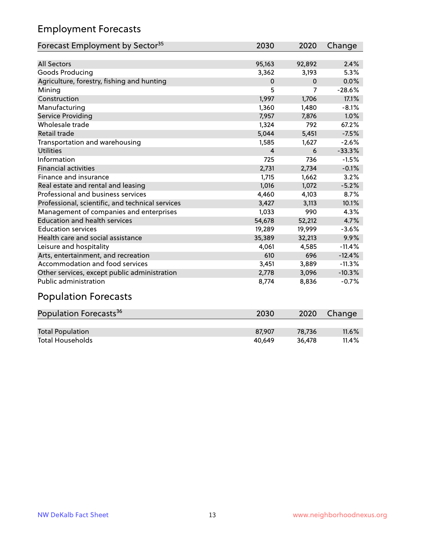## Employment Forecasts

| Forecast Employment by Sector <sup>35</sup>      | 2030           | 2020     | Change   |
|--------------------------------------------------|----------------|----------|----------|
|                                                  |                |          |          |
| <b>All Sectors</b>                               | 95,163         | 92,892   | 2.4%     |
| Goods Producing                                  | 3,362          | 3,193    | 5.3%     |
| Agriculture, forestry, fishing and hunting       | $\mathbf 0$    | $\Omega$ | 0.0%     |
| Mining                                           | 5              | 7        | $-28.6%$ |
| Construction                                     | 1,997          | 1,706    | 17.1%    |
| Manufacturing                                    | 1,360          | 1,480    | $-8.1%$  |
| Service Providing                                | 7,957          | 7,876    | 1.0%     |
| Wholesale trade                                  | 1,324          | 792      | 67.2%    |
| Retail trade                                     | 5,044          | 5,451    | $-7.5%$  |
| Transportation and warehousing                   | 1,585          | 1,627    | $-2.6%$  |
| <b>Utilities</b>                                 | $\overline{4}$ | 6        | $-33.3%$ |
| Information                                      | 725            | 736      | $-1.5%$  |
| <b>Financial activities</b>                      | 2,731          | 2,734    | $-0.1%$  |
| Finance and insurance                            | 1,715          | 1,662    | 3.2%     |
| Real estate and rental and leasing               | 1,016          | 1,072    | $-5.2%$  |
| Professional and business services               | 4,460          | 4,103    | 8.7%     |
| Professional, scientific, and technical services | 3,427          | 3,113    | 10.1%    |
| Management of companies and enterprises          | 1,033          | 990      | 4.3%     |
| <b>Education and health services</b>             | 54,678         | 52,212   | 4.7%     |
| <b>Education services</b>                        | 19,289         | 19,999   | $-3.6%$  |
| Health care and social assistance                | 35,389         | 32,213   | 9.9%     |
| Leisure and hospitality                          | 4,061          | 4,585    | $-11.4%$ |
| Arts, entertainment, and recreation              | 610            | 696      | $-12.4%$ |
| Accommodation and food services                  | 3,451          | 3,889    | $-11.3%$ |
| Other services, except public administration     | 2,778          | 3,096    | $-10.3%$ |
| Public administration                            | 8,774          | 8,836    | $-0.7%$  |
|                                                  |                |          |          |

#### Population Forecasts

| Population Forecasts <sup>36</sup> | 2030   | 2020   | Change   |
|------------------------------------|--------|--------|----------|
|                                    |        |        |          |
| <b>Total Population</b>            | 87.907 | 78.736 | $11.6\%$ |
| <b>Total Households</b>            | 40.649 | 36.478 | 11.4%    |